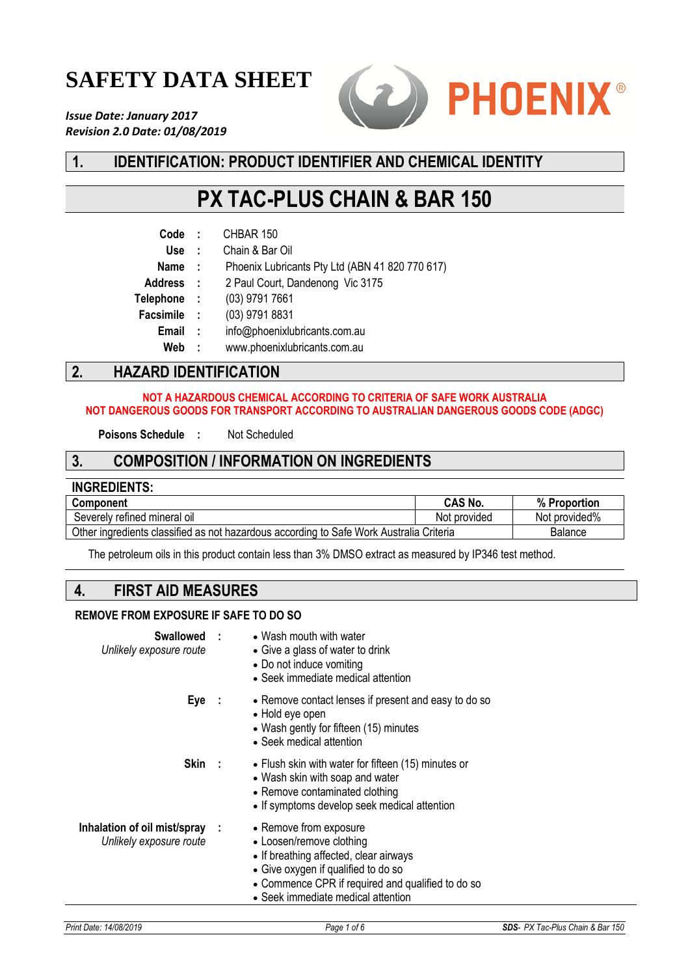# **SAFETY DATA SHEET**

*Issue Date: January 2017 Revision 2.0 Date: 01/08/2019*



# **1. IDENTIFICATION: PRODUCT IDENTIFIER AND CHEMICAL IDENTITY**

# **PX TAC-PLUS CHAIN & BAR 150**

| Code             | ÷            | CHBAR 150                                       |
|------------------|--------------|-------------------------------------------------|
| Use              | $\mathbf{r}$ | Chain & Bar Oil                                 |
| <b>Name</b>      | - 11         | Phoenix Lubricants Pty Ltd (ABN 41 820 770 617) |
| <b>Address</b>   | $\sim 10^7$  | 2 Paul Court, Dandenong Vic 3175                |
| <b>Telephone</b> | - 11         | (03) 9791 7661                                  |
| <b>Facsimile</b> | ÷            | (03) 9791 8831                                  |
| Email            | ÷            | info@phoenixlubricants.com.au                   |
| Web              | - 1          | www.phoenixlubricants.com.au                    |
|                  |              |                                                 |

# **2. HAZARD IDENTIFICATION**

### **NOT A HAZARDOUS CHEMICAL ACCORDING TO CRITERIA OF SAFE WORK AUSTRALIA NOT DANGEROUS GOODS FOR TRANSPORT ACCORDING TO AUSTRALIAN DANGEROUS GOODS CODE (ADGC)**

**Poisons Schedule :** Not Scheduled

## **3. COMPOSITION / INFORMATION ON INGREDIENTS**

| <b>INGREDIENTS:</b>                                                                     |                |                |
|-----------------------------------------------------------------------------------------|----------------|----------------|
| <b>Component</b>                                                                        | <b>CAS No.</b> | % Proportion   |
| Severely refined mineral oil                                                            | Not provided   | Not provided%  |
| Other ingredients classified as not hazardous according to Safe Work Australia Criteria |                | <b>Balance</b> |

The petroleum oils in this product contain less than 3% DMSO extract as measured by IP346 test method.

## **4. FIRST AID MEASURES**

### **REMOVE FROM EXPOSURE IF SAFE TO DO SO**

| Unlikely exposure route                                   | <b>Swallowed : • Wash mouth with water</b><br>• Give a glass of water to drink<br>• Do not induce vomiting<br>• Seek immediate medical attention                                                                               |
|-----------------------------------------------------------|--------------------------------------------------------------------------------------------------------------------------------------------------------------------------------------------------------------------------------|
| $Eye$ :                                                   | • Remove contact lenses if present and easy to do so<br>• Hold eye open<br>• Wash gently for fifteen (15) minutes<br>• Seek medical attention                                                                                  |
| Skin :                                                    | • Flush skin with water for fifteen (15) minutes or<br>• Wash skin with soap and water<br>• Remove contaminated clothing<br>• If symptoms develop seek medical attention                                                       |
| Inhalation of oil mist/spray :<br>Unlikely exposure route | • Remove from exposure<br>• Loosen/remove clothing<br>• If breathing affected, clear airways<br>• Give oxygen if qualified to do so<br>• Commence CPR if required and qualified to do so<br>• Seek immediate medical attention |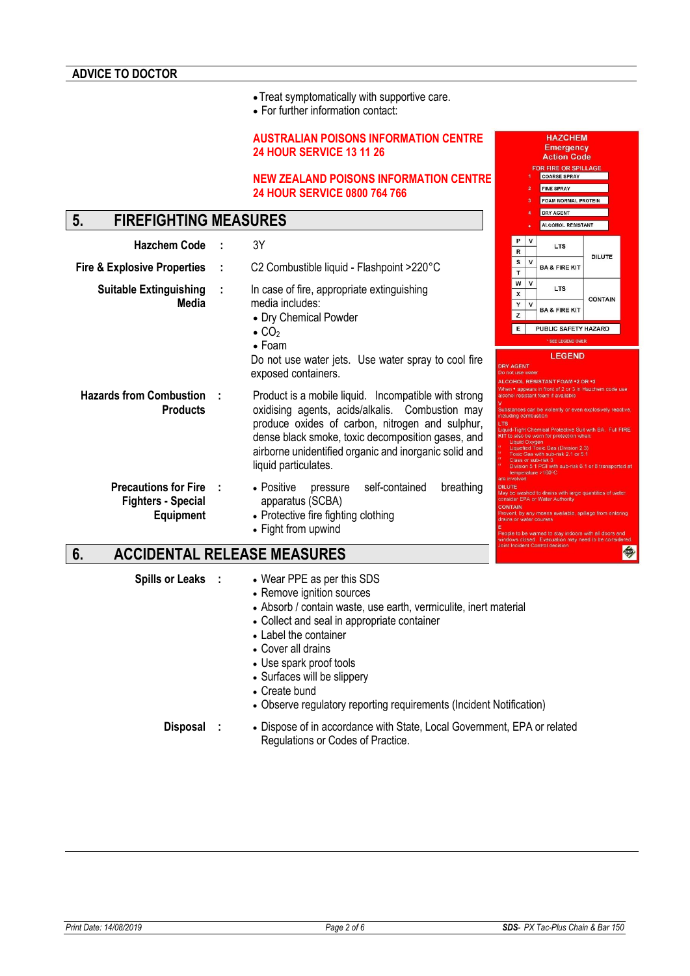•Treat symptomatically with supportive care.

• For further information contact:

### **AUSTRALIAN POISONS INFORMATION CENTRE 24 HOUR SERVICE 13 11 26**

#### **NEW ZEALAND POISONS INFORMATION CENTRE 24 HOUR SERVICE 0800 764 766**

# **5. FIREFIGHTING MEASURES**

| <b>Hazchem Code</b>                                                          | 3Y                                                                                                                                                                                                                                                                                                                      | P<br>$\sf R$                                                                               | v                | <b>LTS</b>                                                                                                                                                                                                                                                                                                                                                                                                                                               |               |
|------------------------------------------------------------------------------|-------------------------------------------------------------------------------------------------------------------------------------------------------------------------------------------------------------------------------------------------------------------------------------------------------------------------|--------------------------------------------------------------------------------------------|------------------|----------------------------------------------------------------------------------------------------------------------------------------------------------------------------------------------------------------------------------------------------------------------------------------------------------------------------------------------------------------------------------------------------------------------------------------------------------|---------------|
| <b>Fire &amp; Explosive Properties</b>                                       | C2 Combustible liquid - Flashpoint >220°C                                                                                                                                                                                                                                                                               | s<br>T                                                                                     | $\mathbf{v}$     | <b>BA &amp; FIRE KIT</b>                                                                                                                                                                                                                                                                                                                                                                                                                                 | <b>DILUTE</b> |
| <b>Suitable Extinguishing</b><br>Media                                       | In case of fire, appropriate extinguishing<br>media includes:<br>• Dry Chemical Powder<br>$\bullet$ CO <sub>2</sub><br>$\bullet$ Foam<br>Do not use water jets. Use water spray to cool fire                                                                                                                            | w<br>X<br>Υ<br>$\mathsf{z}$<br>E                                                           | v<br>$\mathbf v$ | <b>LTS</b><br><b>BA &amp; FIRE KIT</b><br>PUBLIC SAFETY HAZARD<br>* SEE LEGEND OVER<br><b>LEGEND</b>                                                                                                                                                                                                                                                                                                                                                     | <b>CONTAI</b> |
| <b>Hazards from Combustion</b><br><b>Products</b>                            | exposed containers.<br>Product is a mobile liquid. Incompatible with strong<br>oxidising agents, acids/alkalis. Combustion may<br>produce oxides of carbon, nitrogen and sulphur,<br>dense black smoke, toxic decomposition gases, and<br>airborne unidentified organic and inorganic solid and<br>liquid particulates. | <b>DRY AGENT</b><br>Do not use water<br>including combustion<br><b>LTS</b><br>are involved | Liquid Oxygen    | ALCOHOL RESISTANT FOAM .2 OR .3<br>When • appears in front of 2 or 3 in Hazchem co.<br>alcohol resistant foam if available<br>Substances can be violently or even explosively<br>Liquid-Tight Chemical Protective Suit with BA. F<br>KIT to also be worn for protection when:<br>Liquefied Toxic Gas (Division 2.3)<br>Toxic Gas with sub-risk 2.1 or 5.1<br>Class or sub-risk 3<br>Division 5.1 PGI with sub-risk 6.1 or 8 trans<br>temperature > 100°C |               |
| <b>Precautions for Fire</b><br><b>Fighters - Special</b><br><b>Equipment</b> | self-contained<br>breathing<br>• Positive<br>pressure<br>apparatus (SCBA)<br>• Protective fire fighting clothing<br>• Fight from upwind                                                                                                                                                                                 | <b>DILUTE</b><br><b>CONTAIN</b><br>drains or water courses                                 |                  | May be washed to drains with large quantities of<br>consider EPA or Water Authority<br>Prevent, by any means available, spillage from e.<br>People to be warned to stay indoors with all door                                                                                                                                                                                                                                                            |               |

# **6. ACCIDENTAL RELEASE MEASURES**

- **Spills or Leaks :** Wear PPE as per this SDS
	- Remove ignition sources
	- Absorb / contain waste, use earth, vermiculite, inert material
	- Collect and seal in appropriate container
	- Label the container
	- Cover all drains
	- Use spark proof tools
	- Surfaces will be slippery
	- Create bund
	- Observe regulatory reporting requirements (Incident Notification)

**Disposal :** • Dispose of in accordance with State, Local Government, EPA or related Regulations or Codes of Practice.

**HAZCHEM Emergency Action Code OR FIRE OR SPILLA** COARSE SPRAY FINE SPRAY FOAM NORMAL PROTEIN DRY AGENT ALCOHOL RESISTANT

arge quantities of wate

今

**DILUTE** 

CONTAIN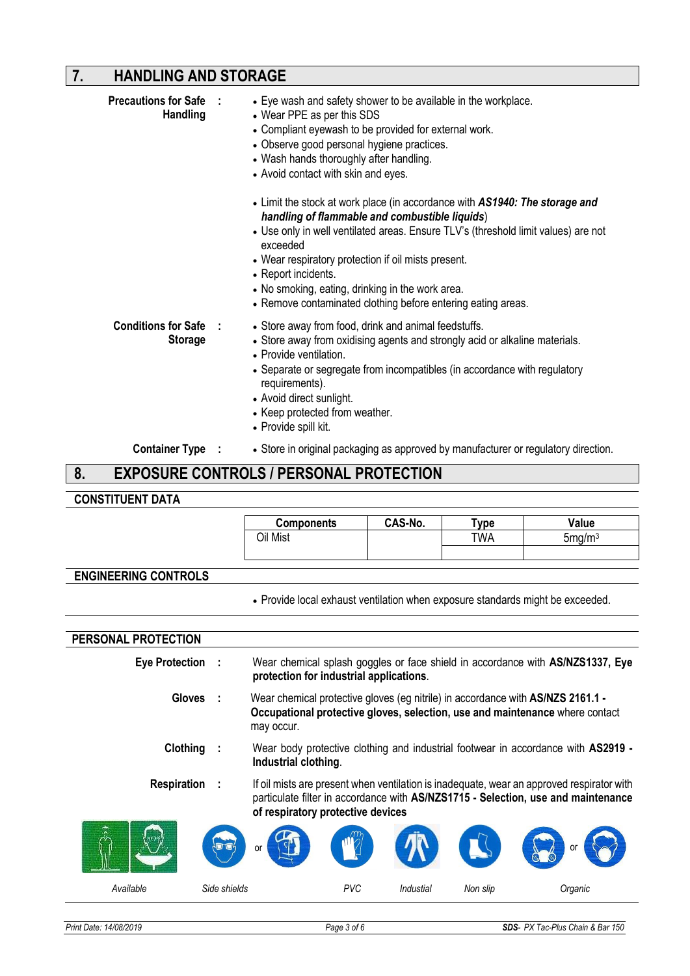# **7. HANDLING AND STORAGE**

| • Observe good personal hygiene practices.<br>• Wash hands thoroughly after handling.<br>• Avoid contact with skin and eyes.<br>• Limit the stock at work place (in accordance with AS1940: The storage and<br>handling of flammable and combustible liquids)<br>• Use only in well ventilated areas. Ensure TLV's (threshold limit values) are not<br>exceeded<br>• Wear respiratory protection if oil mists present.<br>• Report incidents.<br>• No smoking, eating, drinking in the work area.<br>• Remove contaminated clothing before entering eating areas.<br><b>Conditions for Safe</b><br>• Store away from food, drink and animal feedstuffs.<br>$\sim$ 1<br><b>Storage</b><br>• Store away from oxidising agents and strongly acid or alkaline materials.<br>• Provide ventilation.<br>• Separate or segregate from incompatibles (in accordance with regulatory<br>requirements). |  |
|-----------------------------------------------------------------------------------------------------------------------------------------------------------------------------------------------------------------------------------------------------------------------------------------------------------------------------------------------------------------------------------------------------------------------------------------------------------------------------------------------------------------------------------------------------------------------------------------------------------------------------------------------------------------------------------------------------------------------------------------------------------------------------------------------------------------------------------------------------------------------------------------------|--|
| • Avoid direct sunlight.<br>• Keep protected from weather.<br>• Provide spill kit.                                                                                                                                                                                                                                                                                                                                                                                                                                                                                                                                                                                                                                                                                                                                                                                                            |  |
| <b>Container Type :</b><br>• Store in original packaging as approved by manufacturer or regulatory direction.                                                                                                                                                                                                                                                                                                                                                                                                                                                                                                                                                                                                                                                                                                                                                                                 |  |

### **8. EXPOSURE CONTROLS / PERSONAL PROTECTION**

# **CONSTITUENT DATA**

|                             | <b>Components</b>                                                                                                                                                             | CAS-No. | Type | Value                                                                                                                                                                          |
|-----------------------------|-------------------------------------------------------------------------------------------------------------------------------------------------------------------------------|---------|------|--------------------------------------------------------------------------------------------------------------------------------------------------------------------------------|
|                             | Oil Mist                                                                                                                                                                      |         | TWA  | 5mg/m <sup>3</sup>                                                                                                                                                             |
|                             |                                                                                                                                                                               |         |      |                                                                                                                                                                                |
| <b>ENGINEERING CONTROLS</b> |                                                                                                                                                                               |         |      |                                                                                                                                                                                |
|                             | . Provide local exhaust ventilation when exposure standards might be exceeded.                                                                                                |         |      |                                                                                                                                                                                |
|                             |                                                                                                                                                                               |         |      |                                                                                                                                                                                |
| PERSONAL PROTECTION         |                                                                                                                                                                               |         |      |                                                                                                                                                                                |
| Eye Protection :            | protection for industrial applications.                                                                                                                                       |         |      | Wear chemical splash goggles or face shield in accordance with AS/NZS1337, Eye                                                                                                 |
| <b>Gloves</b>               | Wear chemical protective gloves (eg nitrile) in accordance with AS/NZS 2161.1 -<br>Occupational protective gloves, selection, use and maintenance where contact<br>may occur. |         |      |                                                                                                                                                                                |
| Clothing                    | Industrial clothing.                                                                                                                                                          |         |      | Wear body protective clothing and industrial footwear in accordance with AS2919 -                                                                                              |
| Respiration                 | of respiratory protective devices                                                                                                                                             |         |      | If oil mists are present when ventilation is inadequate, wear an approved respirator with<br>particulate filter in accordance with AS/NZS1715 - Selection, use and maintenance |
|                             |                                                                                                                                                                               |         |      |                                                                                                                                                                                |

| $\langle \cdots \rangle$<br>$\sim$<br>л | $\sqrt{2}$<br><b>CALLES</b><br>or | $\sqrt{12}$ | TR        |          | $\rightarrow$<br><b>CALLES</b><br>οι<br>$\omega$<br><b>VO</b> |
|-----------------------------------------|-----------------------------------|-------------|-----------|----------|---------------------------------------------------------------|
| Available                               | Side shields                      | PVC         | Industial | Non slip | Organic                                                       |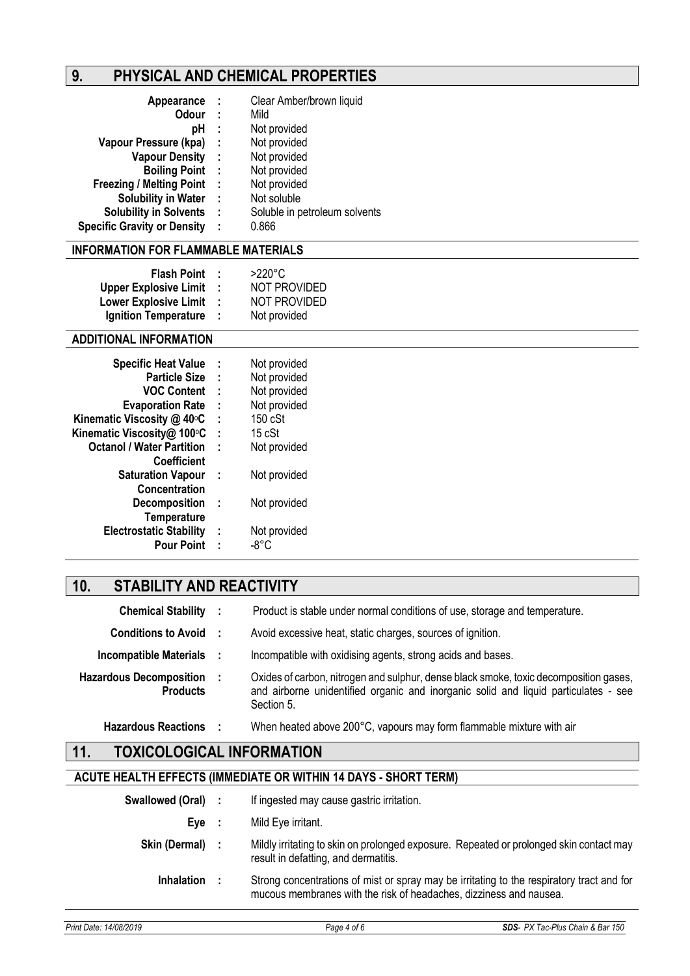# **9. PHYSICAL AND CHEMICAL PROPERTIES**

| Appearance                         | - 1  | Clear Amber/brown liquid      |
|------------------------------------|------|-------------------------------|
| <b>Odour</b>                       | - 1  | Mild                          |
| рH                                 | ÷    | Not provided                  |
| Vapour Pressure (kpa)              | - 1  | Not provided                  |
| <b>Vapour Density</b>              | - 11 | Not provided                  |
| <b>Boiling Point</b>               | - 1  | Not provided                  |
| <b>Freezing / Melting Point</b>    | - 1  | Not provided                  |
| <b>Solubility in Water</b>         | - 1  | Not soluble                   |
| <b>Solubility in Solvents</b>      | - 1  | Soluble in petroleum solvents |
| <b>Specific Gravity or Density</b> | ÷    | 0.866                         |

### **INFORMATION FOR FLAMMABLE MATERIALS**

| <b>Flash Point</b>           | и. | $>220^{\circ}$ C    |
|------------------------------|----|---------------------|
| <b>Upper Explosive Limit</b> | ٠  | <b>NOT PROVIDED</b> |
| <b>Lower Explosive Limit</b> | ٠  | <b>NOT PROVIDED</b> |
| <b>Ignition Temperature</b>  | ÷  | Not provided        |

### **ADDITIONAL INFORMATION**

| ÷ | Not provided |
|---|--------------|
| ÷ | Not provided |
| ÷ | Not provided |
| ÷ | Not provided |
| ÷ | 150 cSt      |
| t | 15 cSt       |
| ÷ | Not provided |
|   |              |
| ÷ | Not provided |
|   |              |
| ÷ | Not provided |
|   |              |
| ÷ | Not provided |
| t | -8°C         |
|   |              |

# **10. STABILITY AND REACTIVITY**

| <b>Chemical Stability :</b>                       | Product is stable under normal conditions of use, storage and temperature.                                                                                                                 |
|---------------------------------------------------|--------------------------------------------------------------------------------------------------------------------------------------------------------------------------------------------|
| <b>Conditions to Avoid :</b>                      | Avoid excessive heat, static charges, sources of ignition.                                                                                                                                 |
| Incompatible Materials :                          | Incompatible with oxidising agents, strong acids and bases.                                                                                                                                |
| <b>Hazardous Decomposition</b><br><b>Products</b> | Oxides of carbon, nitrogen and sulphur, dense black smoke, toxic decomposition gases,<br>and airborne unidentified organic and inorganic solid and liquid particulates - see<br>Section 5. |
| <b>Hazardous Reactions</b>                        | When heated above 200°C, vapours may form flammable mixture with air                                                                                                                       |

# **11. TOXICOLOGICAL INFORMATION**

### **ACUTE HEALTH EFFECTS (IMMEDIATE OR WITHIN 14 DAYS - SHORT TERM)**

| Swallowed (Oral) : | If ingested may cause gastric irritation.                                                                                                                       |
|--------------------|-----------------------------------------------------------------------------------------------------------------------------------------------------------------|
| Eve :              | Mild Eye irritant.                                                                                                                                              |
| Skin (Dermal) :    | Mildly irritating to skin on prolonged exposure. Repeated or prolonged skin contact may<br>result in defatting, and dermatitis.                                 |
| <b>Inhalation</b>  | Strong concentrations of mist or spray may be irritating to the respiratory tract and for<br>mucous membranes with the risk of headaches, dizziness and nausea. |
|                    |                                                                                                                                                                 |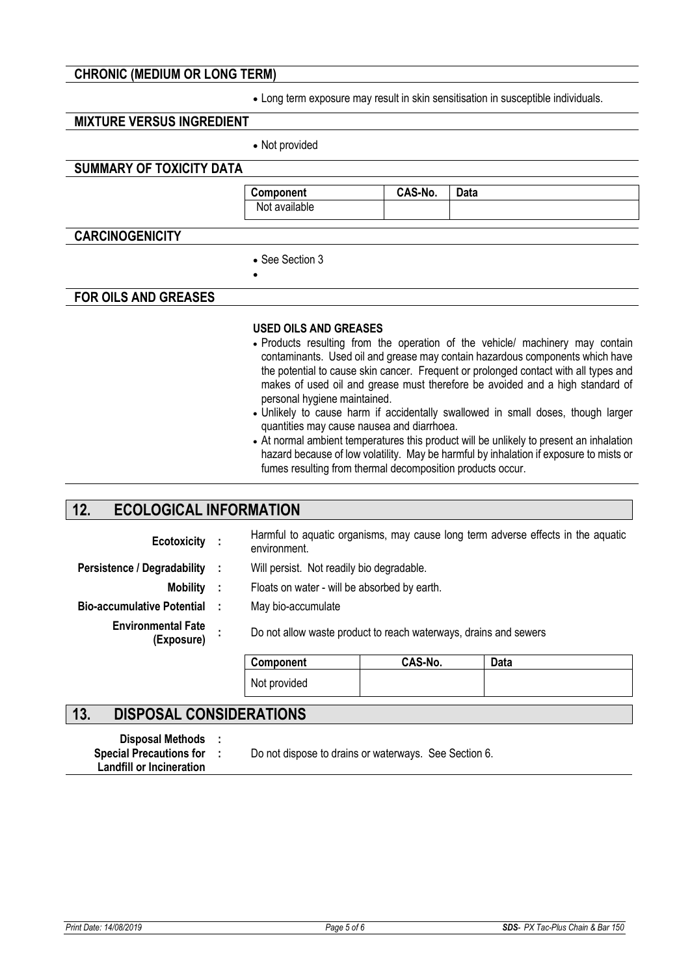### **CHRONIC (MEDIUM OR LONG TERM)**

• Long term exposure may result in skin sensitisation in susceptible individuals.

### **MIXTURE VERSUS INGREDIENT**

• Not provided

### **SUMMARY OF TOXICITY DATA**

**Component CAS-No. Data**  Not available

### **CARCINOGENICITY**

• See Section 3

•

### **FOR OILS AND GREASES**

#### **USED OILS AND GREASES**

- Products resulting from the operation of the vehicle/ machinery may contain contaminants. Used oil and grease may contain hazardous components which have the potential to cause skin cancer. Frequent or prolonged contact with all types and makes of used oil and grease must therefore be avoided and a high standard of personal hygiene maintained.
- Unlikely to cause harm if accidentally swallowed in small doses, though larger quantities may cause nausea and diarrhoea.
- At normal ambient temperatures this product will be unlikely to present an inhalation hazard because of low volatility. May be harmful by inhalation if exposure to mists or fumes resulting from thermal decomposition products occur.

# **12. ECOLOGICAL INFORMATION**

| Ecotoxicity :                           |      | environment.                                                     |         | Harmful to aquatic organisms, may cause long term adverse effects in the aquatic |
|-----------------------------------------|------|------------------------------------------------------------------|---------|----------------------------------------------------------------------------------|
| Persistence / Degradability             | - 11 | Will persist. Not readily bio degradable.                        |         |                                                                                  |
| <b>Mobility</b>                         | - 11 | Floats on water - will be absorbed by earth.                     |         |                                                                                  |
| <b>Bio-accumulative Potential</b>       |      | May bio-accumulate                                               |         |                                                                                  |
| <b>Environmental Fate</b><br>(Exposure) |      | Do not allow waste product to reach waterways, drains and sewers |         |                                                                                  |
|                                         |      | Component                                                        | CAS-No. | Data                                                                             |
|                                         |      | Not provided                                                     |         |                                                                                  |

# **13. DISPOSAL CONSIDERATIONS**

**Disposal Methods : Landfill or Incineration Special Precautions for :** 

Do not dispose to drains or waterways. See Section 6.